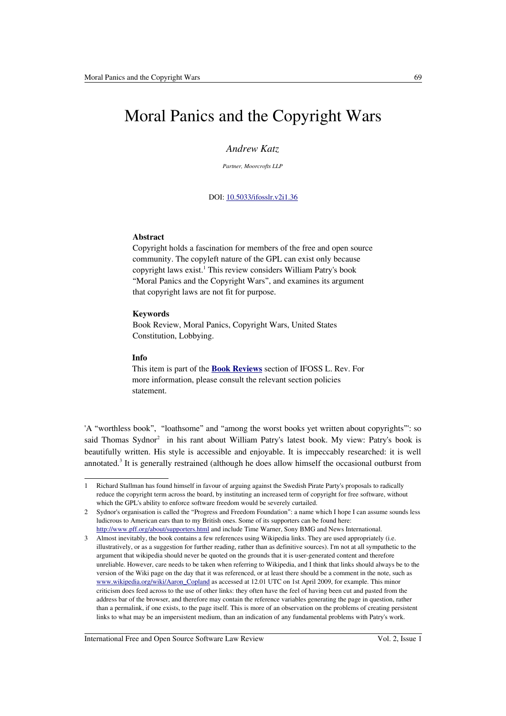## Moral Panics and the Copyright Wars

*Andrew Katz*

*Partner, Moorcrofts LLP*

DOI: [10.5033/ifosslr.v2i1.36](http://dx.doi.org/10.5033/ifosslr.v2i1.36)

## **Abstract**

Copyright holds a fascination for members of the free and open source community. The copyleft nature of the GPL can exist only because copyright laws exist.<sup>[1](#page-0-0)</sup> This review considers William Patry's book "Moral Panics and the Copyright Wars", and examines its argument that copyright laws are not fit for purpose.

## **Keywords**

Book Review, Moral Panics, Copyright Wars, United States Constitution, Lobbying.

## **Info**

This item is part of the **[Book Reviews](http://www.ifosslr.org/ifosslr/about/editorialPolicies#sectionPolicies)** section of IFOSS L. Rev. For more information, please consult the relevant section policies statement.

'A "worthless book", "loathsome" and "among the worst books yet written about copyrights"': so said Thomas Sydnor<sup>[2](#page-0-1)</sup> in his rant about William Patry's latest book. My view: Patry's book is beautifully written. His style is accessible and enjoyable. It is impeccably researched: it is well annotated.<sup>[3](#page-0-2)</sup> It is generally restrained (although he does allow himself the occasional outburst from

<span id="page-0-0"></span><sup>1</sup> Richard Stallman has found himself in favour of arguing against the Swedish Pirate Party's proposals to radically reduce the copyright term across the board, by instituting an increased term of copyright for free software, without which the GPL's ability to enforce software freedom would be severely curtailed.

<span id="page-0-1"></span><sup>2</sup> Sydnor's organisation is called the "Progress and Freedom Foundation": a name which I hope I can assume sounds less ludicrous to American ears than to my British ones. Some of its supporters can be found here: <http://www.pff.org/about/supporters.html>and include Time Warner, Sony BMG and News International.

<span id="page-0-2"></span><sup>3</sup> Almost inevitably, the book contains a few references using Wikipedia links. They are used appropriately (i.e. illustratively, or as a suggestion for further reading, rather than as definitive sources). I'm not at all sympathetic to the argument that wikipedia should never be quoted on the grounds that it is user-generated content and therefore unreliable. However, care needs to be taken when referring to Wikipedia, and I think that links should always be to the version of the Wiki page on the day that it was referenced, or at least there should be a comment in the note, such as [www.wikipedia.org/wiki/Aaron\\_Copland](http://www.wikipedia.org/wiki/Aaron_Copland) as accessed at 12.01 UTC on 1st April 2009, for example. This minor criticism does feed across to the use of other links: they often have the feel of having been cut and pasted from the address bar of the browser, and therefore may contain the reference variables generating the page in question, rather than a permalink, if one exists, to the page itself. This is more of an observation on the problems of creating persistent links to what may be an impersistent medium, than an indication of any fundamental problems with Patry's work.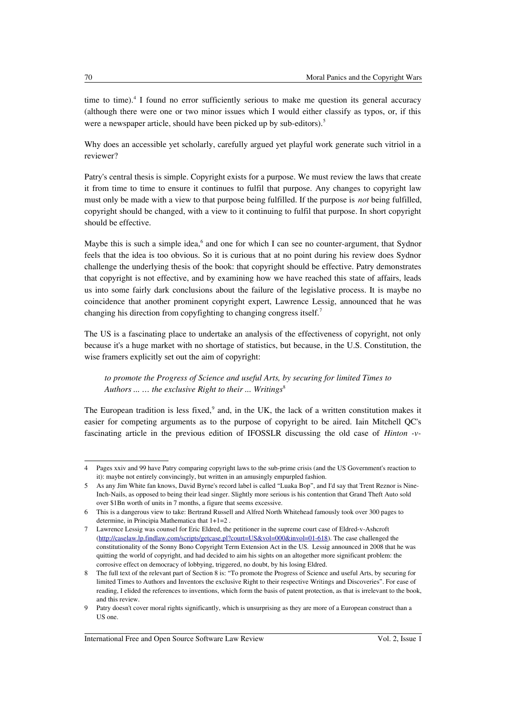time to time).<sup>[4](#page-1-0)</sup> I found no error sufficiently serious to make me question its general accuracy (although there were one or two minor issues which I would either classify as typos, or, if this were a newspaper article, should have been picked up by sub-editors).<sup>[5](#page-1-1)</sup>

Why does an accessible yet scholarly, carefully argued yet playful work generate such vitriol in a reviewer?

Patry's central thesis is simple. Copyright exists for a purpose. We must review the laws that create it from time to time to ensure it continues to fulfil that purpose. Any changes to copyright law must only be made with a view to that purpose being fulfilled. If the purpose is *not* being fulfilled, copyright should be changed, with a view to it continuing to fulfil that purpose. In short copyright should be effective.

Maybe this is such a simple idea,<sup>[6](#page-1-2)</sup> and one for which I can see no counter-argument, that Sydnor feels that the idea is too obvious. So it is curious that at no point during his review does Sydnor challenge the underlying thesis of the book: that copyright should be effective. Patry demonstrates that copyright is not effective, and by examining how we have reached this state of affairs, leads us into some fairly dark conclusions about the failure of the legislative process. It is maybe no coincidence that another prominent copyright expert, Lawrence Lessig, announced that he was changing his direction from copyfighting to changing congress itself.<sup>[7](#page-1-3)</sup>

The US is a fascinating place to undertake an analysis of the effectiveness of copyright, not only because it's a huge market with no shortage of statistics, but because, in the U.S. Constitution, the wise framers explicitly set out the aim of copyright:

*to promote the Progress of Science and useful Arts, by securing for limited Times to Authors ... … the exclusive Right to their ... Writings*[8](#page-1-4)

The European tradition is less fixed, $9$  and, in the UK, the lack of a written constitution makes it easier for competing arguments as to the purpose of copyright to be aired. Iain Mitchell QC's fascinating article in the previous edition of IFOSSLR discussing the old case of *Hinton -v-*

<span id="page-1-0"></span><sup>4</sup> Pages xxiv and 99 have Patry comparing copyright laws to the sub-prime crisis (and the US Government's reaction to it): maybe not entirely convincingly, but written in an amusingly empurpled fashion.

<span id="page-1-1"></span><sup>5</sup> As any Jim White fan knows, David Byrne's record label is called "Luaka Bop", and I'd say that Trent Reznor is Nine-Inch-Nails, as opposed to being their lead singer. Slightly more serious is his contention that Grand Theft Auto sold over \$1Bn worth of units in 7 months, a figure that seems excessive.

<span id="page-1-2"></span><sup>6</sup> This is a dangerous view to take: Bertrand Russell and Alfred North Whitehead famously took over 300 pages to determine, in Principia Mathematica that 1+1=2 .

<span id="page-1-3"></span><sup>7</sup> Lawrence Lessig was counsel for Eric Eldred, the petitioner in the supreme court case of Eldred-v-Ashcroft [\(http://caselaw.lp.findlaw.com/scripts/getcase.pl?court=US&vol=000&invol=01-618\)](http://caselaw.lp.findlaw.com/scripts/getcase.pl?court=US&vol=000&invol=01-618). The case challenged the constitutionality of the Sonny Bono Copyright Term Extension Act in the US. Lessig announced in 2008 that he was quitting the world of copyright, and had decided to aim his sights on an altogether more significant problem: the corrosive effect on democracy of lobbying, triggered, no doubt, by his losing Eldred.

<span id="page-1-4"></span><sup>8</sup> The full text of the relevant part of Section 8 is: "To promote the Progress of Science and useful Arts, by securing for limited Times to Authors and Inventors the exclusive Right to their respective Writings and Discoveries". For ease of reading, I elided the references to inventions, which form the basis of patent protection, as that is irrelevant to the book, and this review.

<span id="page-1-5"></span><sup>9</sup> Patry doesn't cover moral rights significantly, which is unsurprising as they are more of a European construct than a US one.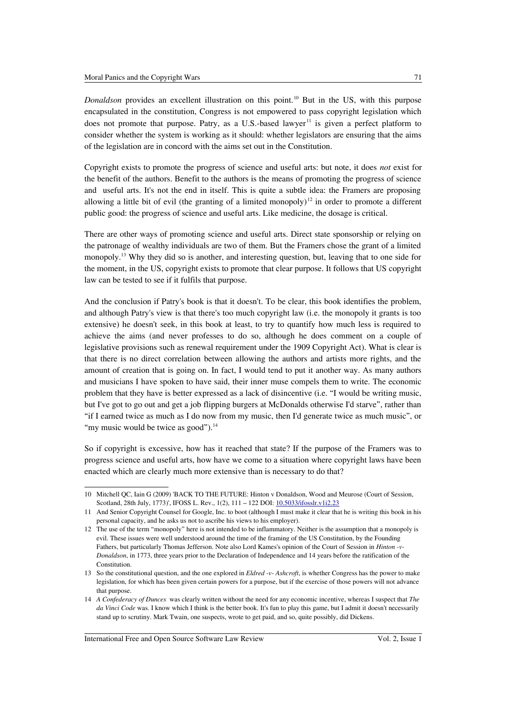*Donaldson* provides an excellent illustration on this point.<sup>[10](#page-2-0)</sup> But in the US, with this purpose encapsulated in the constitution, Congress is not empowered to pass copyright legislation which does not promote that purpose. Patry, as a U.S.-based lawyer<sup>[11](#page-2-1)</sup> is given a perfect platform to consider whether the system is working as it should: whether legislators are ensuring that the aims of the legislation are in concord with the aims set out in the Constitution.

Copyright exists to promote the progress of science and useful arts: but note, it does *not* exist for the benefit of the authors. Benefit to the authors is the means of promoting the progress of science and useful arts. It's not the end in itself. This is quite a subtle idea: the Framers are proposing allowing a little bit of evil (the granting of a limited monopoly)<sup>[12](#page-2-2)</sup> in order to promote a different public good: the progress of science and useful arts. Like medicine, the dosage is critical.

There are other ways of promoting science and useful arts. Direct state sponsorship or relying on the patronage of wealthy individuals are two of them. But the Framers chose the grant of a limited monopoly.[13](#page-2-3) Why they did so is another, and interesting question, but, leaving that to one side for the moment, in the US, copyright exists to promote that clear purpose. It follows that US copyright law can be tested to see if it fulfils that purpose.

And the conclusion if Patry's book is that it doesn't. To be clear, this book identifies the problem, and although Patry's view is that there's too much copyright law (i.e. the monopoly it grants is too extensive) he doesn't seek, in this book at least, to try to quantify how much less is required to achieve the aims (and never professes to do so, although he does comment on a couple of legislative provisions such as renewal requirement under the 1909 Copyright Act). What is clear is that there is no direct correlation between allowing the authors and artists more rights, and the amount of creation that is going on. In fact, I would tend to put it another way. As many authors and musicians I have spoken to have said, their inner muse compels them to write. The economic problem that they have is better expressed as a lack of disincentive (i.e. "I would be writing music, but I've got to go out and get a job flipping burgers at McDonalds otherwise I'd starve", rather than "if I earned twice as much as I do now from my music, then I'd generate twice as much music", or "my music would be twice as good").<sup>[14](#page-2-4)</sup>

So if copyright is excessive, how has it reached that state? If the purpose of the Framers was to progress science and useful arts, how have we come to a situation where copyright laws have been enacted which are clearly much more extensive than is necessary to do that?

International Free and Open Source Software Law Review Vol. 2, Issue 1

<span id="page-2-0"></span><sup>10</sup> Mitchell QC, Iain G (2009) 'BACK TO THE FUTURE: Hinton v Donaldson, Wood and Meurose (Court of Session, Scotland, 28th July, 1773)', IFOSS L. Rev., 1(2), 111 - 122 DOI: [10.5033/ifosslr.v1i2.23](http://dx.doi.org/10.5033/ifosslr.v1i2.23)

<span id="page-2-1"></span><sup>11</sup> And Senior Copyright Counsel for Google, Inc. to boot (although I must make it clear that he is writing this book in his personal capacity, and he asks us not to ascribe his views to his employer).

<span id="page-2-2"></span><sup>12</sup> The use of the term "monopoly" here is not intended to be inflammatory. Neither is the assumption that a monopoly is evil. These issues were well understood around the time of the framing of the US Constitution, by the Founding Fathers, but particularly Thomas Jefferson. Note also Lord Kames's opinion of the Court of Session in *Hinton -v-Donaldson*, in 1773, three years prior to the Declaration of Independence and 14 years before the ratification of the Constitution.

<span id="page-2-3"></span><sup>13</sup> So the constitutional question, and the one explored in *Eldred -v- Ashcroft*, is whether Congress has the power to make legislation, for which has been given certain powers for a purpose, but if the exercise of those powers will not advance that purpose.

<span id="page-2-4"></span><sup>14</sup> *A Confederacy of Dunces* was clearly written without the need for any economic incentive, whereas I suspect that *The* da Vinci Code was. I know which I think is the better book. It's fun to play this game, but I admit it doesn't necessarily stand up to scrutiny. Mark Twain, one suspects, wrote to get paid, and so, quite possibly, did Dickens.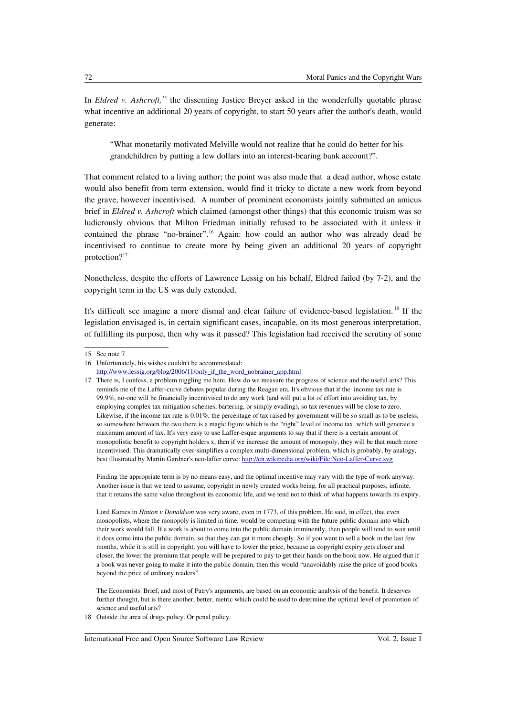In *Eldred v. Ashcroft*,<sup>[15](#page-3-0)</sup> the dissenting Justice Breyer asked in the wonderfully quotable phrase what incentive an additional 20 years of copyright, to start 50 years after the author's death, would generate:

"What monetarily motivated Melville would not realize that he could do better for his grandchildren by putting a few dollars into an interest-bearing bank account?".

That comment related to a living author; the point was also made that a dead author, whose estate would also benefit from term extension, would find it tricky to dictate a new work from beyond the grave, however incentivised. A number of prominent economists jointly submitted an amicus brief in *Eldred v. Ashcroft* which claimed (amongst other things) that this economic truism was so ludicrously obvious that Milton Friedman initially refused to be associated with it unless it contained the phrase "no-brainer".<sup>[16](#page-3-1)</sup> Again: how could an author who was already dead be incentivised to continue to create more by being given an additional 20 years of copyright protection?<sup>[17](#page-3-2)</sup>

Nonetheless, despite the efforts of Lawrence Lessig on his behalf, Eldred failed (by 7-2), and the copyright term in the US was duly extended.

It's difficult see imagine a more dismal and clear failure of evidence-based legislation. [18](#page-3-3) If the legislation envisaged is, in certain significant cases, incapable, on its most generous interpretation, of fulfilling its purpose, then why was it passed? This legislation had received the scrutiny of some

Finding the appropriate term is by no means easy, and the optimal incentive may vary with the type of work anyway. Another issue is that we tend to assume, copyright in newly created works being, for all practical purposes, infinite, that it retains the same value throughout its economic life, and we tend not to think of what happens towards its expiry.

Lord Kames in *Hinton v Donaldson* was very aware, even in 1773, of this problem. He said, in effect, that even monopolists, where the monopoly is limited in time, would be competing with the future public domain into which their work would fall. If a work is about to come into the public domain imminently, then people will tend to wait until it does come into the public domain, so that they can get it more cheaply. So if you want to sell a book in the last few months, while it is still in copyright, you will have to lower the price, because as copyright expiry gets closer and closer, the lower the premium that people will be prepared to pay to get their hands on the book now. He argued that if a book was never going to make it into the public domain, then this would "unavoidably raise the price of good books beyond the price of ordinary readers".

The Economists' Brief, and most of Patry's arguments, are based on an economic analysis of the benefit. It deserves further thought, but is there another, better, metric which could be used to determine the optimal level of promotion of science and useful arts?

International Free and Open Source Software Law Review Vol. 2, Issue 1

<span id="page-3-0"></span><sup>15</sup> See note 7

<span id="page-3-1"></span><sup>16</sup> Unfortunately, his wishes couldn't be accommodated:

<span id="page-3-2"></span>[http://www.lessig.org/blog/2006/11/only\\_if\\_the\\_word\\_nobrainer\\_app.html](http://www.lessig.org/blog/2006/11/only_if_the_word_nobrainer_app.html)

<sup>17</sup> There is, I confess, a problem niggling me here. How do we measure the progress of science and the useful arts? This reminds me of the Laffer-curve debates popular during the Reagan era. It's obvious that if the income tax rate is 99.9%, no-one will be financially incentivised to do any work (and will put a lot of effort into avoiding tax, by employing complex tax mitigation schemes, bartering, or simply evading), so tax revenues will be close to zero. Likewise, if the income tax rate is 0.01%, the percentage of tax raised by government will be so small as to be useless. so somewhere between the two there is a magic figure which is the "right" level of income tax, which will generate a maximum amount of tax. It's very easy to use Laffer-esque arguments to say that if there is a certain amount of monopolistic benefit to copyright holders x, then if we increase the amount of monopoly, they will be that much more incentivised. This dramatically over-simplifies a complex multi-dimensional problem, which is probably, by analogy, best illustrated by Martin Gardner's neo-laffer curve:<http://en.wikipedia.org/wiki/File:Neo-Laffer-Curve.svg>

<span id="page-3-3"></span><sup>18</sup> Outside the area of drugs policy. Or penal policy.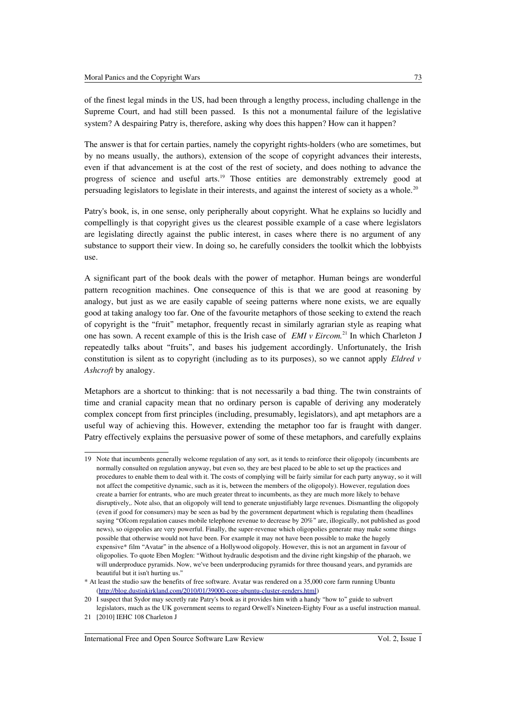of the finest legal minds in the US, had been through a lengthy process, including challenge in the Supreme Court, and had still been passed. Is this not a monumental failure of the legislative system? A despairing Patry is, therefore, asking why does this happen? How can it happen?

The answer is that for certain parties, namely the copyright rights-holders (who are sometimes, but by no means usually, the authors), extension of the scope of copyright advances their interests, even if that advancement is at the cost of the rest of society, and does nothing to advance the progress of science and useful arts.<sup>[19](#page-4-0)</sup> Those entities are demonstrably extremely good at persuading legislators to legislate in their interests, and against the interest of society as a whole.<sup>[20](#page-4-1)</sup>

Patry's book, is, in one sense, only peripherally about copyright. What he explains so lucidly and compellingly is that copyright gives us the clearest possible example of a case where legislators are legislating directly against the public interest, in cases where there is no argument of any substance to support their view. In doing so, he carefully considers the toolkit which the lobbyists use.

A significant part of the book deals with the power of metaphor. Human beings are wonderful pattern recognition machines. One consequence of this is that we are good at reasoning by analogy, but just as we are easily capable of seeing patterns where none exists, we are equally good at taking analogy too far. One of the favourite metaphors of those seeking to extend the reach of copyright is the "fruit" metaphor, frequently recast in similarly agrarian style as reaping what one has sown. A recent example of this is the Irish case of *EMI v Eircom.*[21](#page-4-2) In which Charleton J repeatedly talks about "fruits", and bases his judgement accordingly. Unfortunately, the Irish constitution is silent as to copyright (including as to its purposes), so we cannot apply *Eldred v Ashcroft* by analogy.

Metaphors are a shortcut to thinking: that is not necessarily a bad thing. The twin constraints of time and cranial capacity mean that no ordinary person is capable of deriving any moderately complex concept from first principles (including, presumably, legislators), and apt metaphors are a useful way of achieving this. However, extending the metaphor too far is fraught with danger. Patry effectively explains the persuasive power of some of these metaphors, and carefully explains

<span id="page-4-0"></span><sup>19</sup> Note that incumbents generally welcome regulation of any sort, as it tends to reinforce their oligopoly (incumbents are normally consulted on regulation anyway, but even so, they are best placed to be able to set up the practices and procedures to enable them to deal with it. The costs of complying will be fairly similar for each party anyway, so it will not affect the competitive dynamic, such as it is, between the members of the oligopoly). However, regulation does create a barrier for entrants, who are much greater threat to incumbents, as they are much more likely to behave disruptively,. Note also, that an oligopoly will tend to generate unjustifiably large revenues. Dismantling the oligopoly (even if good for consumers) may be seen as bad by the government department which is regulating them (headlines saying "Ofcom regulation causes mobile telephone revenue to decrease by 20%" are, illogically, not published as good news), so oigopolies are very powerful. Finally, the super-revenue which oligopolies generate may make some things possible that otherwise would not have been. For example it may not have been possible to make the hugely expensive\* film "Avatar" in the absence of a Hollywood oligopoly. However, this is not an argument in favour of oligopolies. To quote Eben Moglen: "Without hydraulic despotism and the divine right kingship of the pharaoh, we will underproduce pyramids. Now, we've been underproducing pyramids for three thousand years, and pyramids are beautiful but it isn't hurting us."

<sup>\*</sup> At least the studio saw the benefits of free software. Avatar was rendered on a 35,000 core farm running Ubuntu [\(http://blog.dustinkirkland.com/2010/01/39000-core-ubuntu-cluster-renders.html\)](http://blog.dustinkirkland.com/2010/01/39000-core-ubuntu-cluster-renders.html)

<span id="page-4-1"></span><sup>20</sup> I suspect that Sydor may secretly rate Patry's book as it provides him with a handy "how to" guide to subvert legislators, much as the UK government seems to regard Orwell's Nineteen-Eighty Four as a useful instruction manual.

<span id="page-4-2"></span><sup>21</sup> [2010] IEHC 108 Charleton J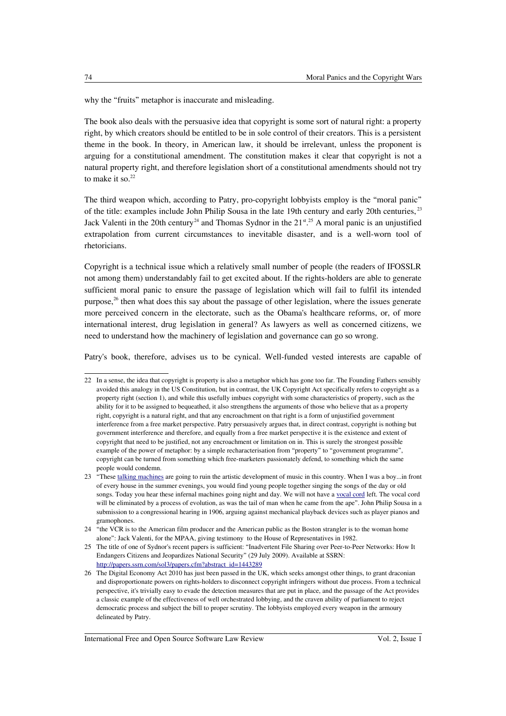why the "fruits" metaphor is inaccurate and misleading.

The book also deals with the persuasive idea that copyright is some sort of natural right: a property right, by which creators should be entitled to be in sole control of their creators. This is a persistent theme in the book. In theory, in American law, it should be irrelevant, unless the proponent is arguing for a constitutional amendment. The constitution makes it clear that copyright is not a natural property right, and therefore legislation short of a constitutional amendments should not try to make it so. $22$ 

The third weapon which, according to Patry, pro-copyright lobbyists employ is the "moral panic" of the title: examples include John Philip Sousa in the late 19th century and early 20th centuries, <sup>[23](#page-5-1)</sup> Jack Valenti in the 20th century<sup>[24](#page-5-2)</sup> and Thomas Sydnor in the  $21^{st}$ .<sup>[25](#page-5-3)</sup> A moral panic is an unjustified extrapolation from current circumstances to inevitable disaster, and is a well-worn tool of rhetoricians.

Copyright is a technical issue which a relatively small number of people (the readers of IFOSSLR not among them) understandably fail to get excited about. If the rights-holders are able to generate sufficient moral panic to ensure the passage of legislation which will fail to fulfil its intended purpose,<sup>[26](#page-5-4)</sup> then what does this say about the passage of other legislation, where the issues generate more perceived concern in the electorate, such as the Obama's healthcare reforms, or, of more international interest, drug legislation in general? As lawyers as well as concerned citizens, we need to understand how the machinery of legislation and governance can go so wrong.

Patry's book, therefore, advises us to be cynical. Well-funded vested interests are capable of

<span id="page-5-0"></span><sup>22</sup> In a sense, the idea that copyright is property is also a metaphor which has gone too far. The Founding Fathers sensibly avoided this analogy in the US Constitution, but in contrast, the UK Copyright Act specifically refers to copyright as a property right (section 1), and while this usefully imbues copyright with some characteristics of property, such as the ability for it to be assigned to bequeathed, it also strengthens the arguments of those who believe that as a property right, copyright is a natural right, and that any encroachment on that right is a form of unjustified government interference from a free market perspective. Patry persuasively argues that, in direct contrast, copyright is nothing but government interference and therefore, and equally from a free market perspective it is the existence and extent of copyright that need to be justified, not any encroachment or limitation on in. This is surely the strongest possible example of the power of metaphor: by a simple recharacterisation from "property" to "government programme", copyright can be turned from something which free-marketers passionately defend, to something which the same people would condemn.

<span id="page-5-1"></span><sup>23 &</sup>quot;These [talking machines](http://en.wikipedia.org/wiki/Phonograph) are going to ruin the artistic development of music in this country. When I was a boy...in front of every house in the summer evenings, you would find young people together singing the songs of the day or old songs. Today you hear these infernal machines going night and day. We will not have a [vocal cord](http://en.wikipedia.org/wiki/Vocal_folds) left. The vocal cord will be eliminated by a process of evolution, as was the tail of man when he came from the ape". John Philip Sousa in a submission to a congressional hearing in 1906, arguing against mechanical playback devices such as player pianos and gramophones.

<span id="page-5-2"></span><sup>24</sup> "the VCR is to the American film producer and the American public as the Boston strangler is to the woman home alone": Jack Valenti, for the MPAA, giving testimony to the House of Representatives in 1982.

<span id="page-5-3"></span><sup>25</sup> The title of one of Sydnor's recent papers is sufficient: "Inadvertent File Sharing over Peer-to-Peer Networks: How It Endangers Citizens and Jeopardizes National Security" (29 July 2009). Available at SSRN: [http://papers.ssrn.com/sol3/papers.cfm?abstract\\_id=1443289](http://papers.ssrn.com/sol3/papers.cfm?abstract_id=1443289)

<span id="page-5-4"></span><sup>26</sup> The Digital Economy Act 2010 has just been passed in the UK, which seeks amongst other things, to grant draconian and disproportionate powers on rights-holders to disconnect copyright infringers without due process. From a technical perspective, it's trivially easy to evade the detection measures that are put in place, and the passage of the Act provides a classic example of the effectiveness of well orchestrated lobbying, and the craven ability of parliament to reject democratic process and subject the bill to proper scrutiny. The lobbyists employed every weapon in the armoury delineated by Patry.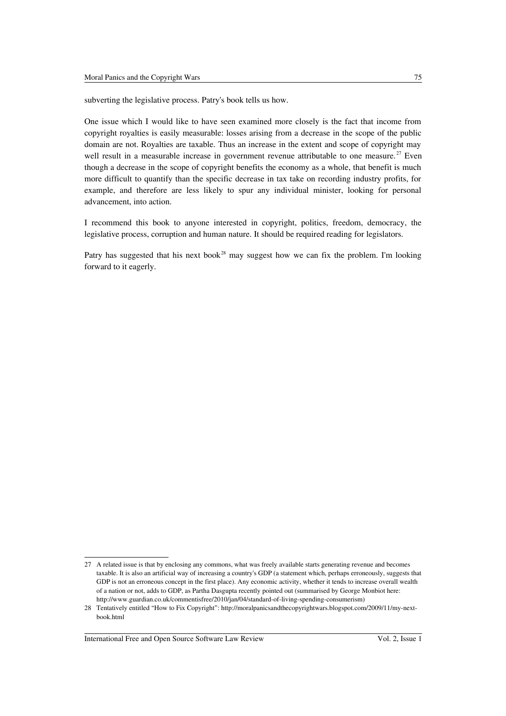subverting the legislative process. Patry's book tells us how.

One issue which I would like to have seen examined more closely is the fact that income from copyright royalties is easily measurable: losses arising from a decrease in the scope of the public domain are not. Royalties are taxable. Thus an increase in the extent and scope of copyright may well result in a measurable increase in government revenue attributable to one measure.<sup>[27](#page-6-0)</sup> Even though a decrease in the scope of copyright benefits the economy as a whole, that benefit is much more difficult to quantify than the specific decrease in tax take on recording industry profits, for example, and therefore are less likely to spur any individual minister, looking for personal advancement, into action.

I recommend this book to anyone interested in copyright, politics, freedom, democracy, the legislative process, corruption and human nature. It should be required reading for legislators.

Patry has suggested that his next book<sup>[28](#page-6-1)</sup> may suggest how we can fix the problem. I'm looking forward to it eagerly.

International Free and Open Source Software Law Review Vol. 2, Issue 1

<span id="page-6-0"></span><sup>27</sup> A related issue is that by enclosing any commons, what was freely available starts generating revenue and becomes taxable. It is also an artificial way of increasing a country's GDP (a statement which, perhaps erroneously, suggests that GDP is not an erroneous concept in the first place). Any economic activity, whether it tends to increase overall wealth of a nation or not, adds to GDP, as Partha Dasgupta recently pointed out (summarised by George Monbiot here: http://www.guardian.co.uk/commentisfree/2010/jan/04/standard-of-living-spending-consumerism)

<span id="page-6-1"></span><sup>28</sup> Tentatively entitled "How to Fix Copyright": http://moralpanicsandthecopyrightwars.blogspot.com/2009/11/my-nextbook.html